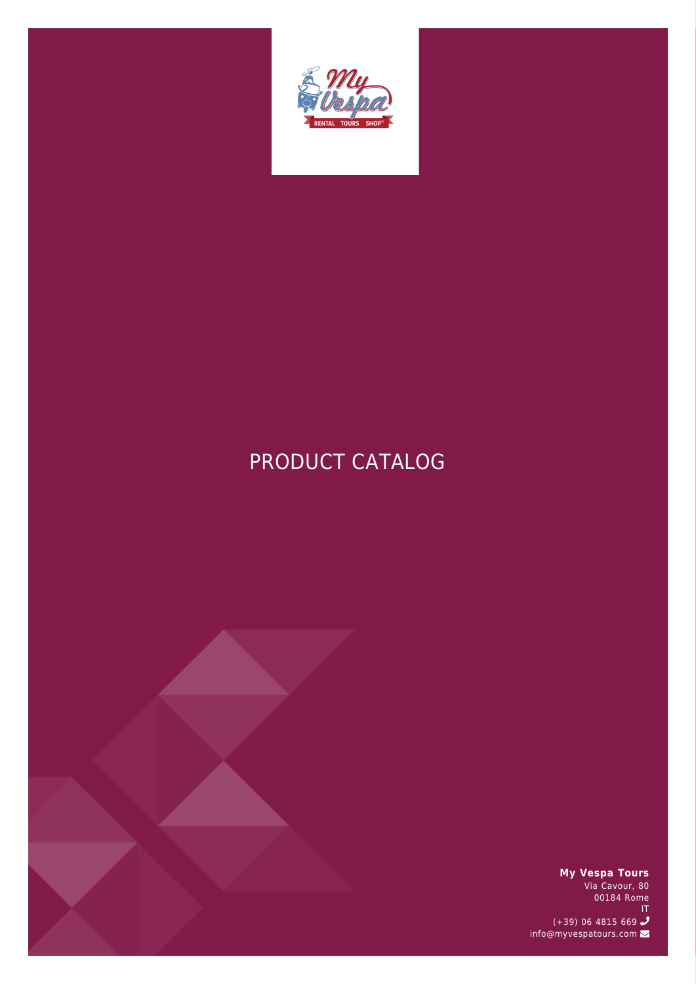

# PRODUCT CATALOG



**My Vespa Tours**

Via Cavour, 80 00184 Rome IT (+39) 06 4815 669 info@myvespatours.com